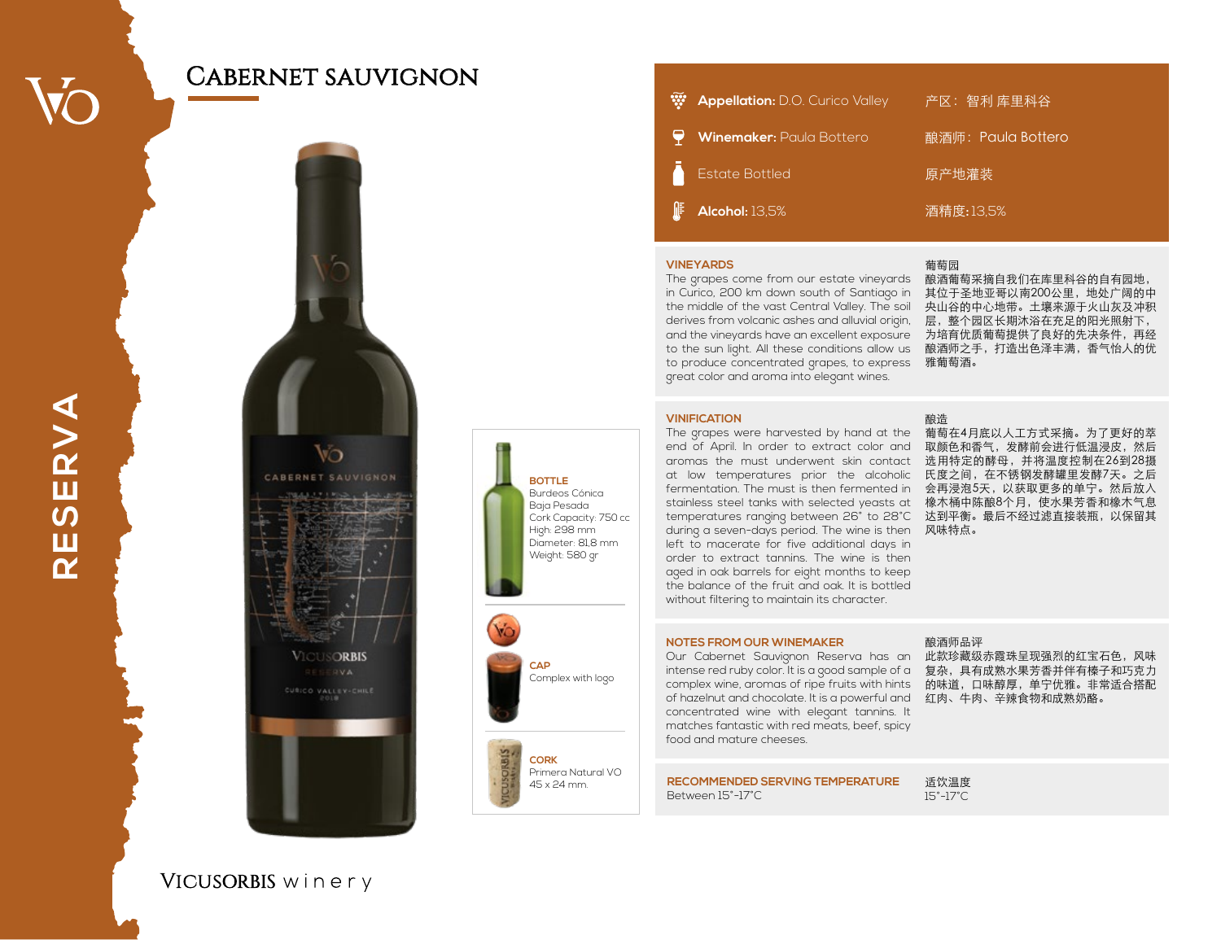## Cabernet sauvignon



|   | <b>W</b> Appellation: D.O. Curico Valley | 产区:智利 库里科谷         |
|---|------------------------------------------|--------------------|
|   | Winemaker: Paula Bottero                 | 酿酒师: Paula Bottero |
| Λ | <b>Estate Bottled</b>                    | 原产地灌装              |
|   | $\mathbb{F}$ Alcohol: 13,5%              | 酒精度:13,5%          |

### **VINEYARDS**

in Curico, 200 km down south of Santiago in 其位于圣地亚哥以南200公里,地处广阔的中 the middle of the vast Central Valley. The soil 央山谷的中心地带。土壤来源于火山灰及冲积 derives from volcanic ashes and alluvial origin, 层,整个园区长期沐浴在充足的阳光照射下, and the vineyards have an excellent exposure 为培育优质葡萄提供了良好的先决条件,再经 to the sun light. All these conditions allow us 酿酒师之手,打造出色泽丰满,香气怡人的优 to produce concentrated grapes, to express 雅葡萄酒。 great color and aroma into elegant wines.

葡萄园

酿造

The grapes come from our estate vineyards 酿酒葡萄采摘自我们在库里科谷的自有园地,

#### **VINIFICATION**

The grapes were harvested by hand at the 葡萄在4月底以人工方式采摘。为了更好的萃 end of April. In order to extract color and 取颜色和香气,发酵前会进行低温浸皮,然后 aromas the must underwent skin contact 选用特定的酵母,并将温度控制在26到28摄 at low temperatures prior the alcoholic 氏度之间,在不锈钢发酵罐里发酵7天。之后 fermentation. The must is then fermented in 会再浸泡5天,以获取更多的单宁。然后放入 stainless steel tanks with selected yeasts at 橡木桶中陈酿8个月,使水果芳香和橡木气息 temperatures ranging between 26° to 28°C 达到平衡。最后不经过滤直接装瓶,以保留其 during a seven-days period. The wine is then 风味特点。 left to macerate for five additional days in order to extract tannins. The wine is then aged in oak barrels for eight months to keep the balance of the fruit and oak. It is bottled without filtering to maintain its character.

#### **NOTES FROM OUR WINEMAKER**

Our Cabernet Sauvignon Reserva has an 此款珍藏级赤霞珠呈现强烈的红宝石色,风味 intense red ruby color. It is a good sample of a 复杂,具有成熟水果芳香并伴有榛子和巧克力 complex wine, aromas of ripe fruits with hints 的味道,口味醇厚,单宁优雅。非常适合搭配 of hazelnut and chocolate. It is a powerful and 红肉、牛肉、辛辣食物和成熟奶酪。 concentrated wine with elegant tannins. It matches fantastic with red meats, beef, spicy food and mature cheeses.

#### 酿酒师品评

**RECOMMENDED SERVING TEMPERATURE** Between 15°-17°C

适饮温度 15°-17°C

**RESERVA RESERVA**

VICUSORBIS winery

**BOTTLE** Burdeos Cónica Baja Pesada Cork Capacity: 750 cc High: 298 mm Diameter: 81,8 mm Weight: 580 gr

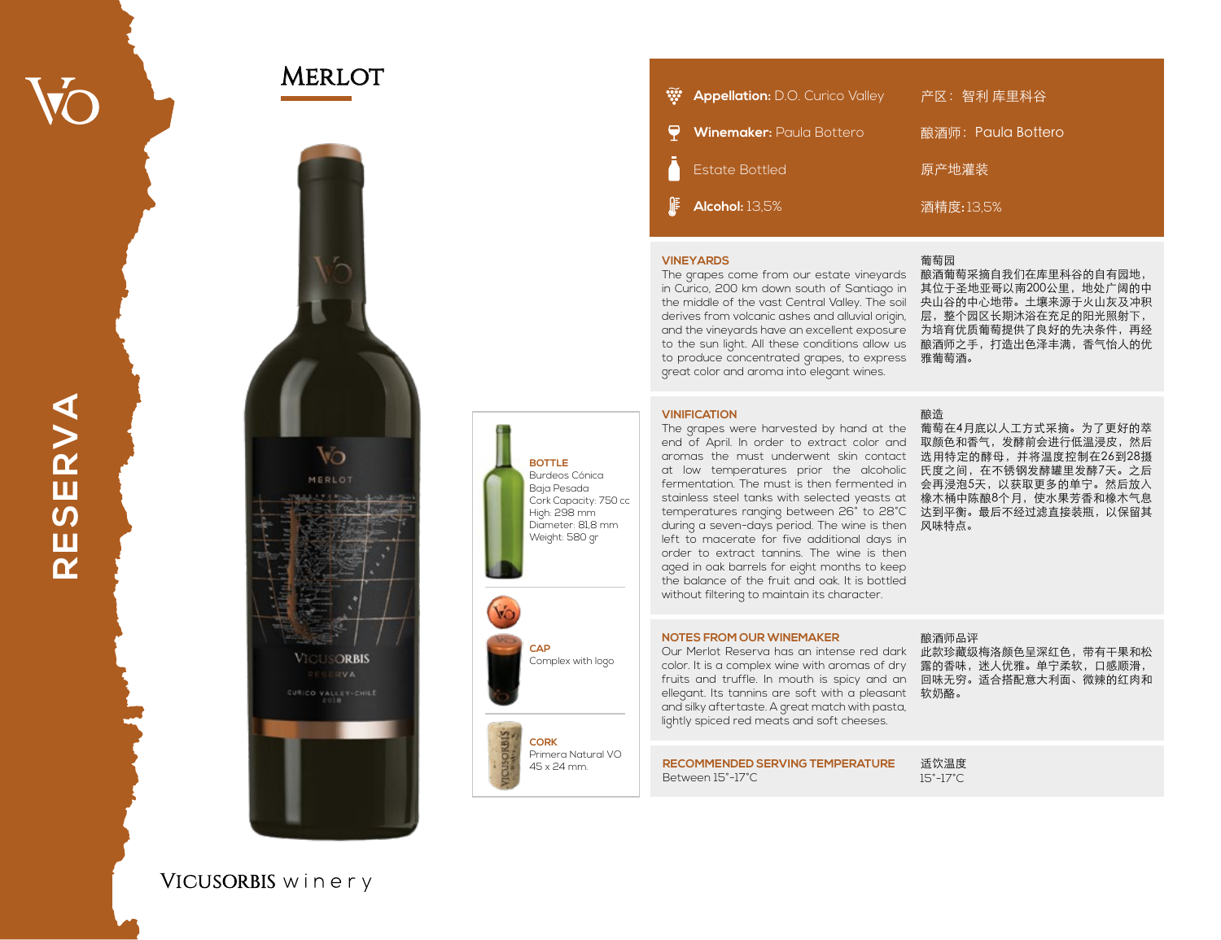## **MERLOT**



| W. | <b>Appellation:</b> D.O. Curico Valley | 产区:智利 库里科谷         |
|----|----------------------------------------|--------------------|
|    | Winemaker: Paula Bottero               | 酿酒师: Paula Bottero |
| Λ  | <b>Estate Bottled</b>                  | 原产地灌装              |
| 厞  | Alcohol: 13,5%                         | 酒精度:13,5%          |

## **VINEYARDS**

The grapes come from our estate vineyards 酿酒葡萄采摘自我们在库里科谷的自有园地, in Curico, 200 km down south of Santiago in 其位于圣地亚哥以南200公里,地处广阔的中 the middle of the vast Central Valley. The soil 央山谷的中心地带。土壤来源于火山灰及冲积 derives from volcanic ashes and alluvial origin, 层,整个园区长期沐浴在充足的阳光照射下, and the vineyards have an excellent exposure 为培育优质葡萄提供了良好的先决条件,再经 to the sun light. All these conditions allow us 酿酒师之手,打造出色泽丰满,香气怡人的优 to produce concentrated grapes, to express 雅葡萄酒。 great color and aroma into elegant wines.

#### 葡萄园

酿造

#### **VINIFICATION**

The grapes were harvested by hand at the 葡萄在4月底以人工方式采摘。为了更好的萃 end of April. In order to extract color and 取颜色和香气,发酵前会进行低温浸皮,然后 aromas the must underwent skin contact 选用特定的酵母,并将温度控制在26到28摄 at low temperatures prior the alcoholic 氏度之间,在不锈钢发酵罐里发酵7天。之后 fermentation. The must is then fermented in 会再浸泡5天,以获取更多的单宁。然后放入 stainless steel tanks with selected yeasts at 橡木桶中陈酿8个月,使水果芳香和橡木气息 temperatures ranging between 26° to 28°C 达到平衡。最后不经过滤直接装瓶,以保留其 during a seven-days period. The wine is then 《风味特点。 left to macerate for five additional days in order to extract tannins. The wine is then aged in oak barrels for eight months to keep the balance of the fruit and oak. It is bottled without filtering to maintain its character.

#### **NOTES FROM OUR WINEMAKER**

Our Merlot Reserva has an intense red dark 此款珍藏级梅洛颜色呈深红色,带有干果和松 color. It is a complex wine with aromas of dry 《露的香味,迷人优雅。单宁柔软,口感顺滑, fruits and truffle. In mouth is spicy and an 回味无穷。适合搭配意大利面、微辣的红肉和 ellegant. Its tannins are soft with a pleasant  $~$  软奶酪。 and silky aftertaste. A great match with pasta, lightly spiced red meats and soft cheeses.

## **RECOMMENDED SERVING TEMPERATURE**

Between 15°-17°C

适饮温度 15°-17°C

酿酒师品评

# RESERVA **RESERVA**

## VICUSORBIS winery

**CAP** Complex with logo

**BOTTLE** Burdeos Cónica Baja Pesada Cork Capacity: 750 cc High: 298 mm Diameter: 81,8 mm Weight: 580 gr

**COR K**

Primera Natural VO 45 x 24 mm.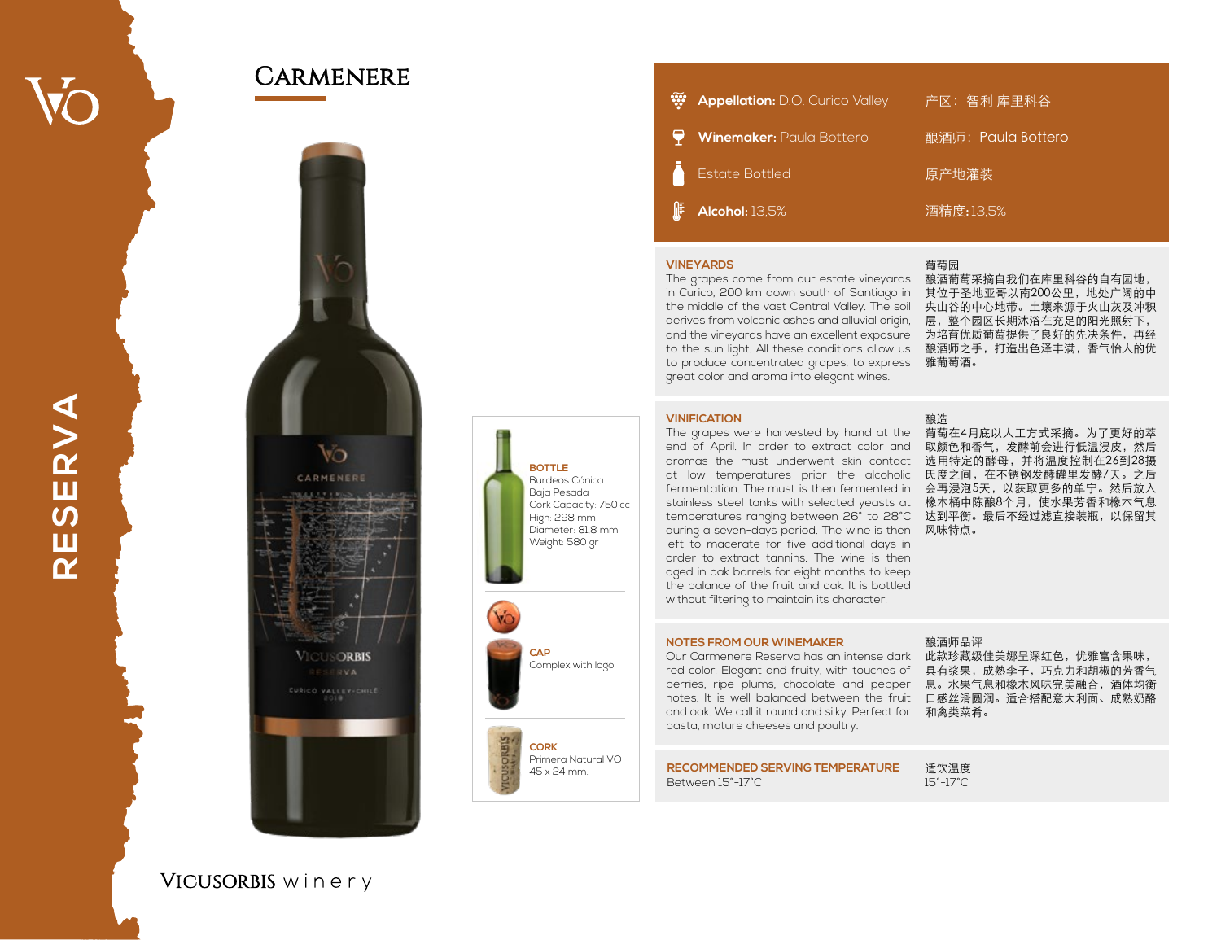## **CARMENERE**



|   | <b>W</b> Appellation: D.O. Curico Valley | 产区:智利库里科谷          |
|---|------------------------------------------|--------------------|
|   | Winemaker: Paula Bottero                 | 酿酒师: Paula Bottero |
| A | <b>Estate Bottled</b>                    | 原产地灌装              |
| ∦ | Alcohol: 13,5%                           | 酒精度:13,5%          |

#### **VINEYARDS**

The grapes come from our estate vineyards 酿酒葡萄采摘自我们在库里科谷的自有园地, in Curico, 200 km down south of Santiago in 其位于圣地亚哥以南200公里,地处广阔的中 the middle of the vast Central Valley. The soil 央山谷的中心地带。土壤来源于火山灰及冲积 derives from volcanic ashes and alluvial origin, 层,整个园区长期沐浴在充足的阳光照射下, and the vineyards have an excellent exposure 为培育优质葡萄提供了良好的先决条件,再经 to the sun light. All these conditions allow us 酿酒师之手,打造出色泽丰满,香气怡人的优 to produce concentrated grapes, to express 雅葡萄酒。 great color and aroma into elegant wines.

### 葡萄园

#### **VINIFICATION**

**BOTTLE** Burdeos Cónica Baja Pesada Cork Capacity: 750 cc High: 298 mm Diameter: 81,8 mm Weight: 580 gr

**CAP**

**COR K**

Complex with logo

Primera Natural VO 45 x 24 mm.

The grapes were harvested by hand at the 葡萄在4月底以人工方式采摘。为了更好的萃 end of April. In order to extract color and 取颜色和香气,发酵前会进行低温浸皮,然后 aromas the must underwent skin contact 选用特定的酵母,并将温度控制在26到28摄 at low temperatures prior the alcoholic 氏度之间,在不锈钢发酵罐里发酵7天。之后 fermentation. The must is then fermented in 会再浸泡5天,以获取更多的单宁。然后放入 stainless steel tanks with selected yeasts at 橡木桶中陈酿8个月,使水果芳香和橡木气息 temperatures ranging between 26° to 28°C 达到平衡。最后不经过滤直接装瓶,以保留其 during a seven-days period. The wine is then 风味特点。 left to macerate for five additional days in order to extract tannins. The wine is then aged in oak barrels for eight months to keep the balance of the fruit and oak. It is bottled without filtering to maintain its character.

#### 酿造

#### **NOTES FROM OUR WINEMAKER**

Our Carmenere Reserva has an intense dark 此款珍藏级佳美娜呈深红色,优雅富含果味, red color. Elegant and fruity, with touches of 具有浆果,成熟李子,巧克力和胡椒的芳香气 berries, ripe plums, chocolate and pepper 息。水果气息和橡木风味完美融合,酒体均衡 notes. It is well balanced between the fruit 口感丝滑圆润。适合搭配意大利面、成熟奶酪 and oak. We call it round and silky. Perfect for 和禽类菜肴。 pasta, mature cheeses and poultry.

#### 酿酒师品评

**RECOMMENDED SERVING TEMPERATURE** Between 15°-17°C

适饮温度 15°-17°C

# RESERVA **RESERVA**

## VICUSORBIS winery